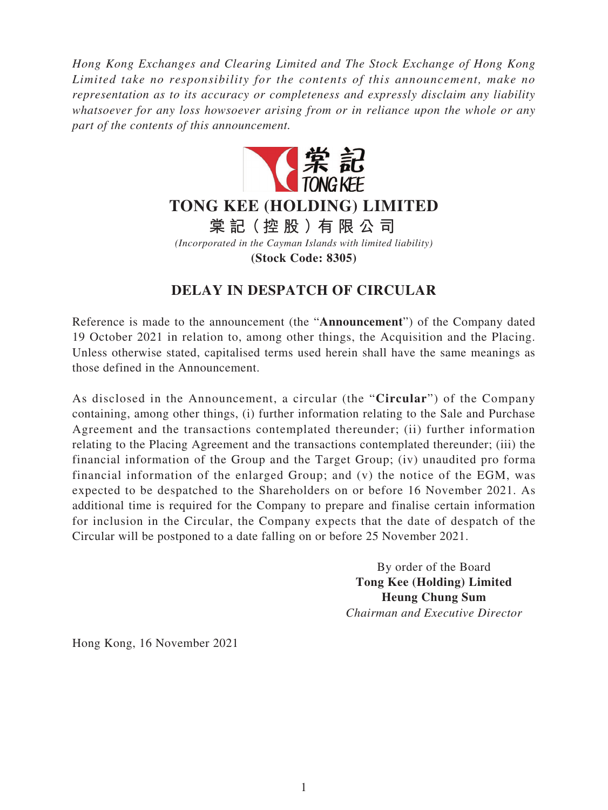*Hong Kong Exchanges and Clearing Limited and The Stock Exchange of Hong Kong Limited take no responsibility for the contents of this announcement, make no representation as to its accuracy or completeness and expressly disclaim any liability whatsoever for any loss howsoever arising from or in reliance upon the whole or any part of the contents of this announcement.*



**TONG KEE (HOLDING) LIMITED**

**棠 記(控股)有限公司**

*(Incorporated in the Cayman Islands with limited liability)*

**(Stock Code: 8305)**

## **DELAY IN DESPATCH OF CIRCULAR**

Reference is made to the announcement (the "**Announcement**") of the Company dated 19 October 2021 in relation to, among other things, the Acquisition and the Placing. Unless otherwise stated, capitalised terms used herein shall have the same meanings as those defined in the Announcement.

As disclosed in the Announcement, a circular (the "**Circular**") of the Company containing, among other things, (i) further information relating to the Sale and Purchase Agreement and the transactions contemplated thereunder; (ii) further information relating to the Placing Agreement and the transactions contemplated thereunder; (iii) the financial information of the Group and the Target Group; (iv) unaudited pro forma financial information of the enlarged Group; and (v) the notice of the EGM, was expected to be despatched to the Shareholders on or before 16 November 2021. As additional time is required for the Company to prepare and finalise certain information for inclusion in the Circular, the Company expects that the date of despatch of the Circular will be postponed to a date falling on or before 25 November 2021.

> By order of the Board **Tong Kee (Holding) Limited Heung Chung Sum** *Chairman and Executive Director*

Hong Kong, 16 November 2021